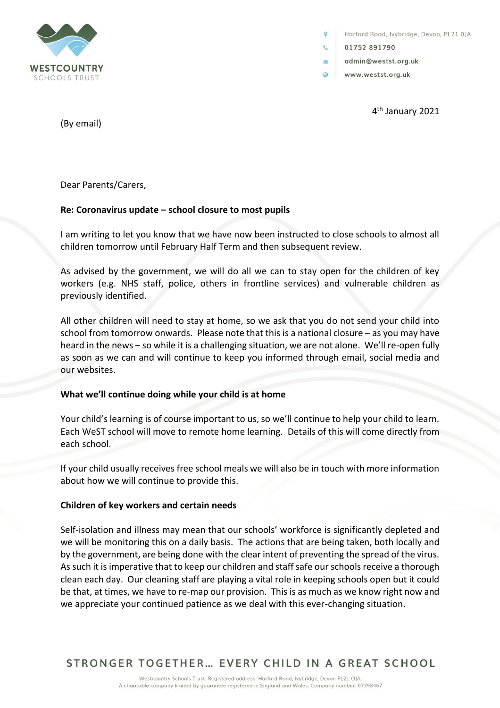

Harford Road, lvybridge, Devon, PL21 0JA

01752891790

 $\overline{\mathbf{v}}$ 

- admin@westst.org.uk
- $\Omega$ www.westst.org.uk

4<sup>th</sup> January 2021

(By email)

Dear Parents/Carers,

## **Re: Coronavirus update – school closure to most pupils**

I am writing to let you know that we have now been instructed to close schools to almost all children tomorrow until February Half Term and then subsequent review.

As advised by the government, we will do all we can to stay open for the children of key workers (e.g. NHS staff, police, others in frontline services) and vulnerable children as previously identified.

All other children will need to stay at home, so we ask that you do not send your child into school from tomorrow onwards. Please note that this is a national closure – as you may have heard in the news – so while it is a challenging situation, we are not alone. We'll re-open fully as soon as we can and will continue to keep you informed through email, social media and our websites.

## **What we'll continue doing while your child is at home**

Your child's learning is of course important to us, so we'll continue to help your child to learn. Each WeST school will move to remote home learning. Details of this will come directly from each school.

If your child usually receives free school meals we will also be in touch with more information about how we will continue to provide this.

## **Children of key workers and certain needs**

Self-isolation and illness may mean that our schools' workforce is significantly depleted and we will be monitoring this on a daily basis. The actions that are being taken, both locally and by the government, are being done with the clear intent of preventing the spread of the virus. As such it is imperative that to keep our children and staff safe our schools receive a thorough clean each day. Our cleaning staff are playing a vital role in keeping schools open but it could be that, at times, we have to re-map our provision. This is as much as we know right now and we appreciate your continued patience as we deal with this ever-changing situation.

STRONGER TOGETHER... EVERY CHILD IN A GREAT SCHOOL